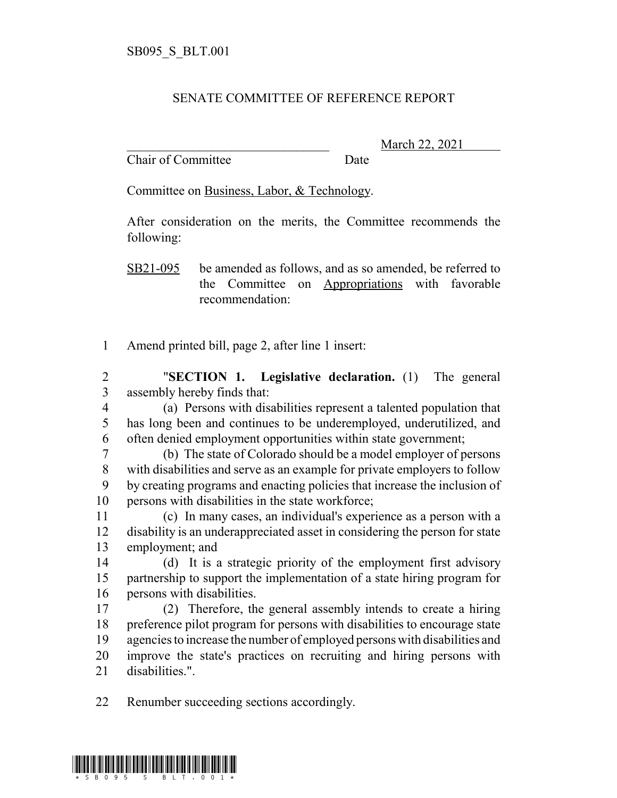## SENATE COMMITTEE OF REFERENCE REPORT

Chair of Committee Date

March 22, 2021

Committee on Business, Labor, & Technology.

After consideration on the merits, the Committee recommends the following:

SB21-095 be amended as follows, and as so amended, be referred to the Committee on Appropriations with favorable recommendation:

Amend printed bill, page 2, after line 1 insert:

 "**SECTION 1. Legislative declaration.** (1) The general assembly hereby finds that:

 (a) Persons with disabilities represent a talented population that has long been and continues to be underemployed, underutilized, and often denied employment opportunities within state government;

 (b) The state of Colorado should be a model employer of persons with disabilities and serve as an example for private employers to follow by creating programs and enacting policies that increase the inclusion of persons with disabilities in the state workforce;

 (c) In many cases, an individual's experience as a person with a disability is an underappreciated asset in considering the person for state employment; and

 (d) It is a strategic priority of the employment first advisory partnership to support the implementation of a state hiring program for persons with disabilities.

 (2) Therefore, the general assembly intends to create a hiring preference pilot program for persons with disabilities to encourage state agencies to increase the number of employed persons with disabilities and improve the state's practices on recruiting and hiring persons with disabilities.".

Renumber succeeding sections accordingly.

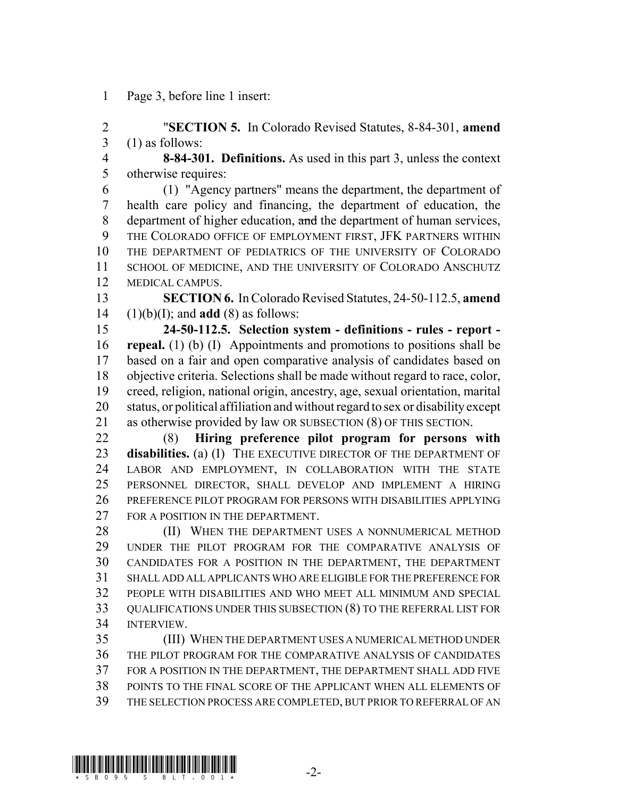Page 3, before line 1 insert:

 "**SECTION 5.** In Colorado Revised Statutes, 8-84-301, **amend** (1) as follows:

 **8-84-301. Definitions.** As used in this part 3, unless the context otherwise requires:

 (1) "Agency partners" means the department, the department of health care policy and financing, the department of education, the department of higher education, and the department of human services, THE COLORADO OFFICE OF EMPLOYMENT FIRST, JFK PARTNERS WITHIN THE DEPARTMENT OF PEDIATRICS OF THE UNIVERSITY OF COLORADO SCHOOL OF MEDICINE, AND THE UNIVERSITY OF COLORADO ANSCHUTZ MEDICAL CAMPUS.

 **SECTION 6.** In Colorado Revised Statutes, 24-50-112.5, **amend** (1)(b)(I); and **add** (8) as follows:

 **24-50-112.5. Selection system - definitions - rules - report - repeal.** (1) (b) (I) Appointments and promotions to positions shall be based on a fair and open comparative analysis of candidates based on objective criteria. Selections shall be made without regard to race, color, creed, religion, national origin, ancestry, age, sexual orientation, marital status, or political affiliation and without regard to sex or disability except as otherwise provided by law OR SUBSECTION (8) OF THIS SECTION.

 (8) **Hiring preference pilot program for persons with disabilities.** (a) (I) THE EXECUTIVE DIRECTOR OF THE DEPARTMENT OF LABOR AND EMPLOYMENT, IN COLLABORATION WITH THE STATE PERSONNEL DIRECTOR, SHALL DEVELOP AND IMPLEMENT A HIRING PREFERENCE PILOT PROGRAM FOR PERSONS WITH DISABILITIES APPLYING 27 FOR A POSITION IN THE DEPARTMENT.

28 (II) WHEN THE DEPARTMENT USES A NONNUMERICAL METHOD UNDER THE PILOT PROGRAM FOR THE COMPARATIVE ANALYSIS OF CANDIDATES FOR A POSITION IN THE DEPARTMENT, THE DEPARTMENT SHALL ADD ALL APPLICANTS WHO ARE ELIGIBLE FOR THE PREFERENCE FOR PEOPLE WITH DISABILITIES AND WHO MEET ALL MINIMUM AND SPECIAL QUALIFICATIONS UNDER THIS SUBSECTION (8) TO THE REFERRAL LIST FOR INTERVIEW.

 (III) WHEN THE DEPARTMENT USES A NUMERICAL METHOD UNDER THE PILOT PROGRAM FOR THE COMPARATIVE ANALYSIS OF CANDIDATES FOR A POSITION IN THE DEPARTMENT, THE DEPARTMENT SHALL ADD FIVE POINTS TO THE FINAL SCORE OF THE APPLICANT WHEN ALL ELEMENTS OF THE SELECTION PROCESS ARE COMPLETED, BUT PRIOR TO REFERRAL OF AN

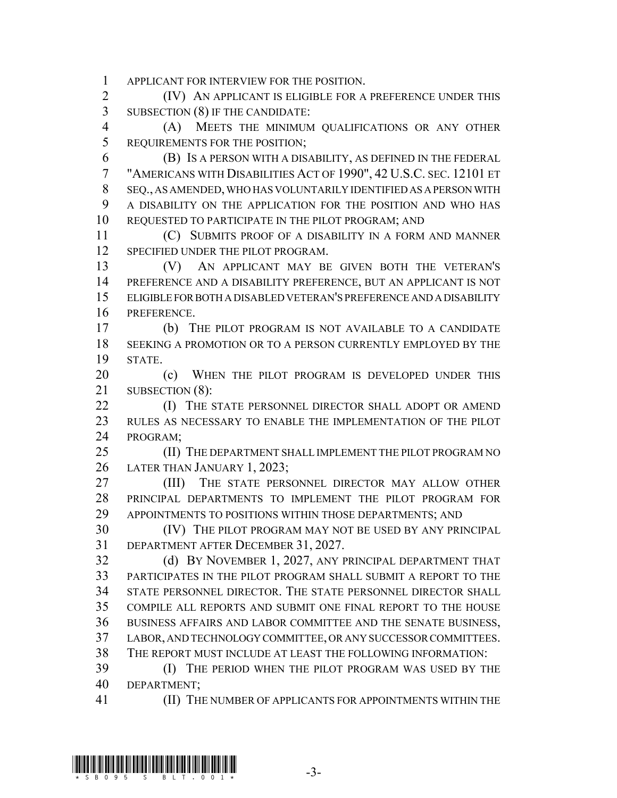APPLICANT FOR INTERVIEW FOR THE POSITION.

 (IV) AN APPLICANT IS ELIGIBLE FOR A PREFERENCE UNDER THIS SUBSECTION (8) IF THE CANDIDATE:

 (A) MEETS THE MINIMUM QUALIFICATIONS OR ANY OTHER REQUIREMENTS FOR THE POSITION;

 (B) IS A PERSON WITH A DISABILITY, AS DEFINED IN THE FEDERAL "AMERICANS WITH DISABILITIES ACT OF 1990", 42 U.S.C. SEC. 12101 ET SEQ., AS AMENDED, WHO HAS VOLUNTARILY IDENTIFIED AS A PERSON WITH A DISABILITY ON THE APPLICATION FOR THE POSITION AND WHO HAS REQUESTED TO PARTICIPATE IN THE PILOT PROGRAM; AND

 (C) SUBMITS PROOF OF A DISABILITY IN A FORM AND MANNER 12 SPECIFIED UNDER THE PILOT PROGRAM.

 (V) AN APPLICANT MAY BE GIVEN BOTH THE VETERAN'S PREFERENCE AND A DISABILITY PREFERENCE, BUT AN APPLICANT IS NOT ELIGIBLE FOR BOTH A DISABLED VETERAN'S PREFERENCE AND A DISABILITY PREFERENCE.

 (b) THE PILOT PROGRAM IS NOT AVAILABLE TO A CANDIDATE SEEKING A PROMOTION OR TO A PERSON CURRENTLY EMPLOYED BY THE STATE.

20 (c) WHEN THE PILOT PROGRAM IS DEVELOPED UNDER THIS 21 SUBSECTION (8):

**(I)** THE STATE PERSONNEL DIRECTOR SHALL ADOPT OR AMEND RULES AS NECESSARY TO ENABLE THE IMPLEMENTATION OF THE PILOT PROGRAM;

25 (II) THE DEPARTMENT SHALL IMPLEMENT THE PILOT PROGRAM NO LATER THAN JANUARY 1, 2023;

 (III) THE STATE PERSONNEL DIRECTOR MAY ALLOW OTHER PRINCIPAL DEPARTMENTS TO IMPLEMENT THE PILOT PROGRAM FOR APPOINTMENTS TO POSITIONS WITHIN THOSE DEPARTMENTS; AND

 (IV) THE PILOT PROGRAM MAY NOT BE USED BY ANY PRINCIPAL DEPARTMENT AFTER DECEMBER 31, 2027.

 (d) BY NOVEMBER 1, 2027, ANY PRINCIPAL DEPARTMENT THAT PARTICIPATES IN THE PILOT PROGRAM SHALL SUBMIT A REPORT TO THE STATE PERSONNEL DIRECTOR. THE STATE PERSONNEL DIRECTOR SHALL COMPILE ALL REPORTS AND SUBMIT ONE FINAL REPORT TO THE HOUSE BUSINESS AFFAIRS AND LABOR COMMITTEE AND THE SENATE BUSINESS, LABOR, AND TECHNOLOGY COMMITTEE, OR ANY SUCCESSOR COMMITTEES. THE REPORT MUST INCLUDE AT LEAST THE FOLLOWING INFORMATION:

 (I) THE PERIOD WHEN THE PILOT PROGRAM WAS USED BY THE DEPARTMENT;

(II) THE NUMBER OF APPLICANTS FOR APPOINTMENTS WITHIN THE